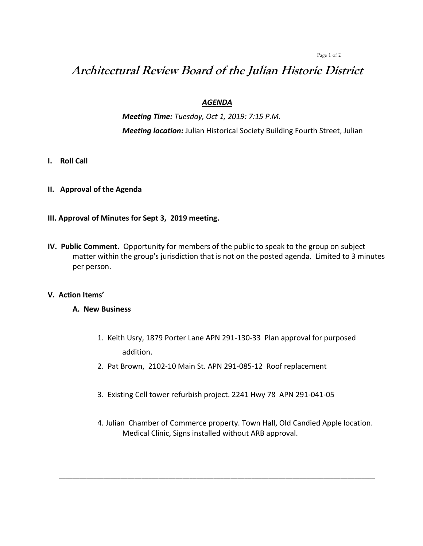Page 1 of 2

# **Architectural Review Board of the Julian Historic District**

### *AGENDA*

*Meeting Time: Tuesday, Oct 1, 2019: 7:15 P.M. Meeting location:* Julian Historical Society Building Fourth Street, Julian

- **I. Roll Call**
- **II. Approval of the Agenda**
- **III. Approval of Minutes for Sept 3, 2019 meeting.**
- **IV. Public Comment.** Opportunity for members of the public to speak to the group on subject matter within the group's jurisdiction that is not on the posted agenda. Limited to 3 minutes per person.

#### **V. Action Items'**

#### **A. New Business**

- 1. Keith Usry, 1879 Porter Lane APN 291-130-33 Plan approval for purposed addition.
- 2. Pat Brown, 2102-10 Main St. APN 291-085-12 Roof replacement
- 3. Existing Cell tower refurbish project. 2241 Hwy 78 APN 291-041-05

\_\_\_\_\_\_\_\_\_\_\_\_\_\_\_\_\_\_\_\_\_\_\_\_\_\_\_\_\_\_\_\_\_\_\_\_\_\_\_\_\_\_\_\_\_\_\_\_\_\_\_\_\_\_\_\_\_\_\_\_\_\_\_\_\_\_\_\_\_\_\_\_\_\_\_\_\_\_\_\_\_\_\_\_\_\_\_\_\_\_\_\_

4. Julian Chamber of Commerce property. Town Hall, Old Candied Apple location. Medical Clinic, Signs installed without ARB approval.